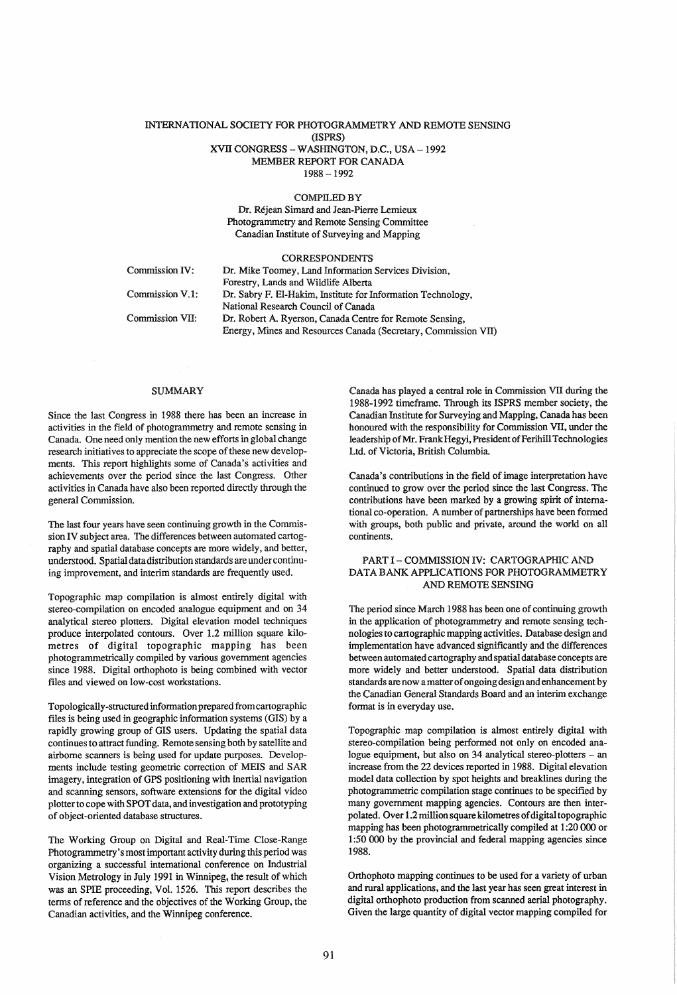## INTERNATIONAL SOCIETY FOR PHOTOGRAMMETRY AND REMOTE SENSING (ISPRS) XVII CONGRESS - WASHINGTON, D.C., USA -1992 MEMBER REPORT FOR CANADA 1988 -1992

#### COMPILED BY

Dr. Rejean Simard and Jean-Pierre Lemieux Photogrammetry and Remote Sensing Committee Canadian Institute of Surveying and Mapping

|                 | <b>CORRESPONDENTS</b>                                          |
|-----------------|----------------------------------------------------------------|
| Commission IV:  | Dr. Mike Toomey, Land Information Services Division,           |
|                 | Forestry, Lands and Wildlife Alberta                           |
| Commission V.1: | Dr. Sabry F. El-Hakim, Institute for Information Technology,   |
|                 | National Research Council of Canada                            |
| Commission VII: | Dr. Robert A. Ryerson, Canada Centre for Remote Sensing,       |
|                 | Energy, Mines and Resources Canada (Secretary, Commission VII) |

#### SUMMARY

Since the last Congress in 1988 there has been an increase in activities in the field of photogrammetry and remote sensing in Canada. One need only mention the new efforts in global change research initiatives to appreciate the scope of these new developments. This report highlights some of Canada's activities and achievements over the period since the last Congress. Other activities in Canada have also been reported directly through the general Commission.

The last four years have seen continuing growth in the Commission IV subject area. The differences between automated cartography and spatial database concepts are more widely, and better, understood. Spatial data distribution standards are under continuing improvement, and interim standards are frequently used.

Topographic map compilation is almost entirely digital with stereo-compilation on encoded analogue equipment and on 34 analytical stereo plotters. Digital elevation model techniques produce interpolated contours. Over 1.2 million square kilometres of digital topographic mapping has been photogrammetrically compiled by various government agencies since 1988. Digital orthophoto is being combined with vector flles and viewed on low-cost workstations.

Topologically-structured information prepared from cartographic files is being used in geographic information systems (GIS) by a rapidly growing group of GIS users. Updating the spatial data continues to attract funding. Remote sensing both by satellite and airborne scanners is being used for update purposes. Developments include testing geometric correction of MEIS and SAR imagery, integration of GPS positioning with inertial navigation and scanning sensors, software extensions for the digital video plotter to cope with SPOT data, and investigation and prototyping of object-oriented database structures.

The Working Group on Digital and Real-Time Close-Range Photogrammetry's most important activity during this period was organizing a successful international conference on Industrial Vision Metrology in July 1991 in Winnipeg, the result of which was an SPIE proceeding, Vol. 1526. This report describes the terms of reference and the objectives of the Working Group, the Canadian activities, and the Winnipeg conference.

Canada has played a central role in Commission VII during the 1988-1992 timeframe. Through its ISPRS member society, the Canadian Institute for Surveying and Mapping, Canada has been honoured with the responsibility for Commission VII, under the leadership of Mr. Frank Hegyi, President of Ferihill Technologies Ltd. of Victoria, British Columbia.

Canada's contributions in the field of image interpretation have continued to grow over the period since the last Congress. The contributions have been marked by a growing spirit of international co-operation. A number of partnerships have been formed with groups, both public and private, around the world on all continents.

## PART I - COMMISSION IV: CARTOGRAPHIC AND DATA BANK APPLICATIONS FOR PHOTOGRAMMETRY AND REMOTE SENSING

The period since March 1988 has been one of continuing growth in the application of photogrammetry and remote sensing technologies to cartographic mapping activities. Database design and implementation have advanced significantly and the differences between automated cartography and spatial database concepts are more widely and better understood. Spatial data distribution standards are now a matter of ongoing design and enhancement by the Canadian General Standards Board and an interim exchange format is in everyday use.

Topographic map compilation is almost entirely digital with stereo-compilation being performed not only on encoded analogue equipment, but also on 34 analytical stereo-plotters - an increase from the 22 devices reported in 1988. Digital elevation model data collection by spot heights and breaklines during the photogrammetric compilation stage continues to be specified by many government mapping agencies. Contours are then interpolated. Over 1.2 million square kilometres of digital topographic mapping has been photogrammetrically compiled at 1 :20 000 or 1 :50 000 by the provincial and federal mapping agencies since 1988.

Orthophoto mapping continues to be used for a variety of urban and rural applications, and the last year has seen great interest in digital orthophoto production from scanned aerial photography. Given the large quantity of digital vector mapping compiled for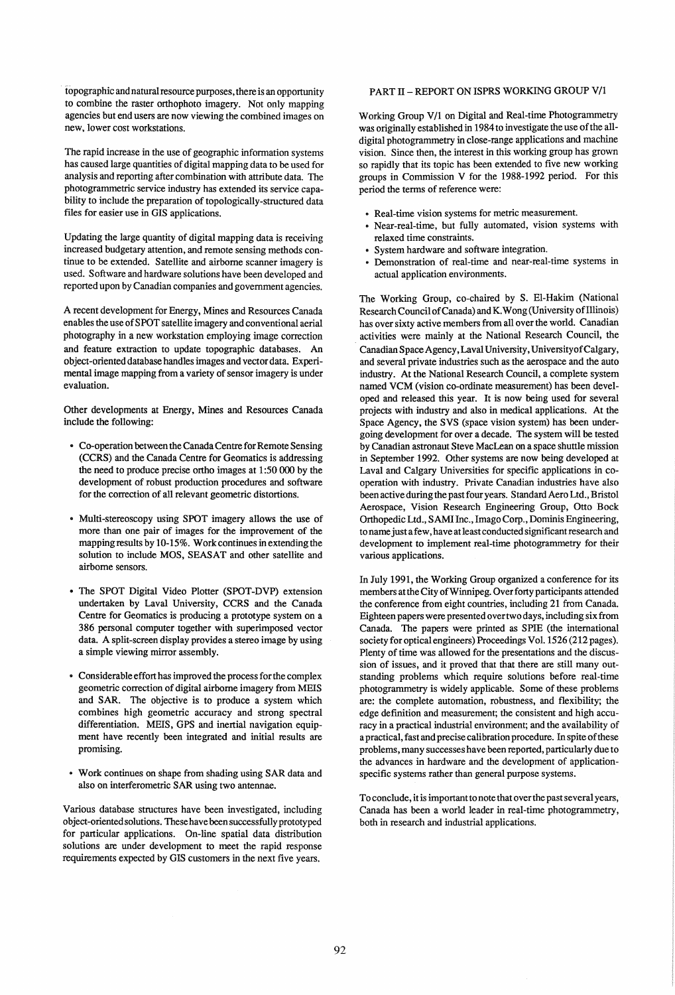topographic and natural resource purposes, there is an opportunity to combine the raster orthophoto imagery. Not only mapping agencies but end users are now viewing the combined images on new, lower cost workstations.

The rapid increase in the use of geographic information systems has caused large quantities of digital mapping data to be used for analysis and reporting after combination with attribute data. The photogrammetric service industry has extended its service capability to include the preparation of topologically-structured data files for easier use in GIS applications.

Updating the large quantity of digital mapping data is receiving increased budgetary attention, and remote sensing methods continue to be extended. Satellite and airborne scanner imagery is used. Software and hardware solutions have been developed and reported upon by Canadian companies and government agencies.

A recent development for Energy, Mines and Resources Canada enables the use of SPOT satellite imagery and conventional aerial photography in a new workstation employing image correction and feature extraction to update topographic databases. An object-oriented database handles images and vector data. Experimental image mapping from a variety of sensor imagery is under evaluation.

Other developments at Energy, Mines and Resources Canada include the following:

- Co-operation between the Canada Centre for Remote Sensing (CCRS) and the Canada Centre for Geomatics is addressing the need to produce precise ortho images at 1 :50 000 by the development of robust production procedures and software for the correction of all relevant geometric distortions.
- Multi-stereoscopy using SPOT imagery allows the use of more than one pair of images for the improvement of the mapping results by 10-15%. Work continues in extending the solution to include MOS, SEASAT and other satellite and airborne sensors.
- The SPOT Digital Video Plotter (SPOT -DVP) extension undertaken by Laval University, CCRS and the Canada Centre for Geomatics is producing a prototype system on a 386 personal computer together with superimposed vector data. A split-screen display provides a stereo image by using a simple viewing mirror assembly.
- Considerable effort has improved the process for the complex geometric correction of digital airborne imagery from MEIS and SAR. The objective is to produce a system which combines high geometric accuracy and strong spectral differentiation. MEIS, GPS and inertial navigation equipment have recently been integrated and initial results are promising.
- Work continues on shape from shading using SAR data and also on interferometric SAR using two antennae.

Various database structures have been investigated, including object -oriented solutions. These have been successfully prototyped for particular applications. On-line spatial data distribution solutions are under development to meet the rapid response requirements expected by GIS customers in the next five years.

# PART II - REPORT ON ISPRS WORKING GROUP V/1

Working Group VII on Digital and Real-time Photogrammetry was originally established in 1984 to investigate the use of the alldigital photogrammetry in close-range applications and machine vision. Since then, the interest in this working group has grown so rapidly that its topic has been extended to five new working groups in Commission V for the 1988-1992 period. For this period the terms of reference were:

- Real-time vision systems for metric measurement.
- Near-real-time, but fully automated, vision systems with relaxed time constraints.
- System hardware and software integration.
- Demonstration of real-time and near-real-time systems in actual application environments.

The Working Group, co-chaired by S. EI-Hakim (National Research Council of Canada) and K.Wong (University ofIllinois) has over sixty active members from all over the world. Canadian . activities were mainly at the National Research Council, the Canadian Space Agency, Laval University, UniversityofCalgary, and several private industries such as the aerospace and the auto industry. At the National Research Council, a complete system named VCM (vision co-ordinate measurement) has been developed and released this year. It is now being used for several projects with industry and also in medical applications. At the Space Agency, the SVS (space vision system) has been undergoing development for over a decade. The system will be tested by Canadian astronaut Steve MacLean on a space shuttle mission in September 1992. Other systems are now being developed at Laval and Calgary Universities for specific applications in cooperation with industry. Private Canadian industries have also been active during the past four years. Standard Aero Ltd., Bristol Aerospace, Vision Research Engineering Group, Otto Bock Orthopedic Ltd., SAMI Inc., Imago Corp., Dominis Engineering, to name just a few, have at least conducted significant research and development to implement real-time photogrammetry for their various applications.

In July 1991, the Working Group organized a conference for its members at the City of Winnipeg. Over forty participants attended the conference from eight countries, including 21 from Canada. Eighteen papers were presented over two days, including six from Canada. The papers were printed as SPIE (the international society for optical engineers) Proceedings Vol. 1526 (212 pages). Plenty of time was allowed for the presentations and the discussion of issues, and it proved that that there are still many outstanding problems which require solutions before real-time photogrammetry is widely applicable. Some of these problems are: the complete automation, robustness, and flexibility; the edge definition and measurement; the consistent and high accuracy in a practical industrial environment; and the availability of a practical, fast and precise calibration procedure. In spite of these problems, many successes have been reported, particularly due to the advances in hardware and the development of applicationspecific systems rather than general purpose systems.

To conclude, it is important to note that over the past several years, Canada has been a world leader in real-time photogrammetry, both in research and industrial applications.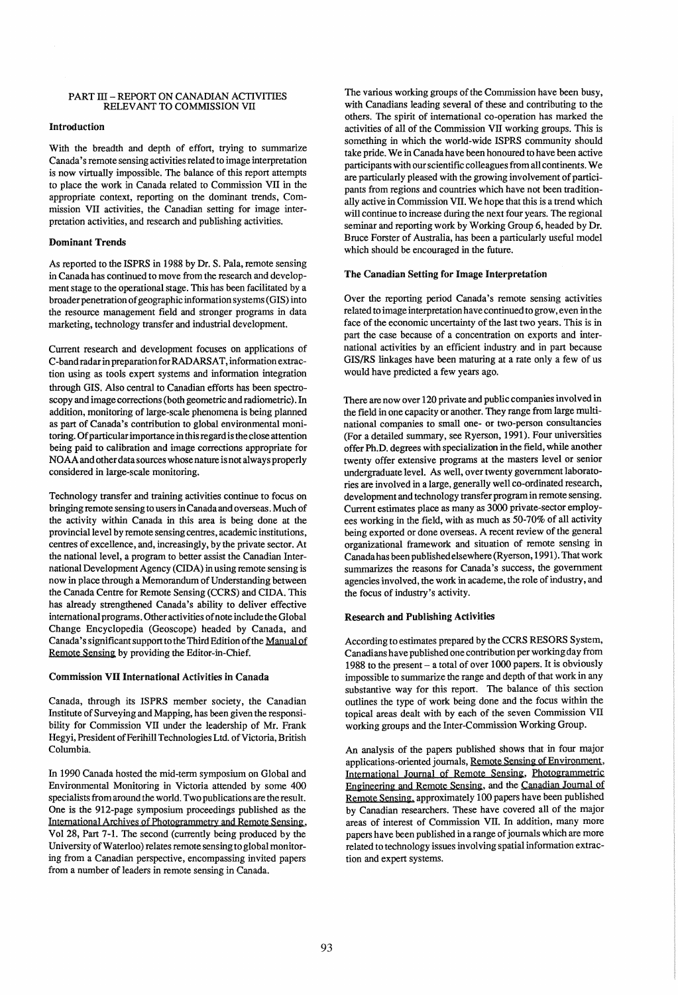## PART III - REPORT ON CANADIAN ACTIVITIES RELEVANT TO COMMISSION VII

## Introduction

With the breadth and depth of effort, trying to summarize Canada's remote sensing activities related to image interpretation is now virtually impossible. The balance of this report attempts to place the work in Canada related to Commission VII in the appropriate context, reporting on the dominant trends, Commission VII activities, the Canadian setting for image interpretation activities, and research and publishing activities.

## Dominant Trends

As reported to the ISPRS in 1988 by Dr. S. Pala, remote sensing in Canada has continued to move from the research and development stage to the operational stage. This has been facilitated by a broader penetration of geographic information systems (GIS) into the resource management field and stronger programs in data marketing, technology transfer and industrial development.

Current research and development focuses on applications of C-band radar in preparation for RADARSAT, information extraction using as tools expert systems and information integration through GIS. Also central to Canadian efforts has been spectroscopy and image corrections (both geometric and radiometric). In addition, monitoring of large-scale phenomena is being planned as part of Canada's contribution to global environmental monitoring. Of particular importance in this regard is the close attention being paid to calibration and image corrections appropriate for NOAA and other data sources whose nature is not always properly considered in large-scale monitoring.

Technology transfer and training activities continue to focus on bringing remote sensing to users in Canada and overseas. Much of the activity within Canada in this area is being done at the provincial level by remote sensing centres, academic institutions, centres of excellence, and, increasingly, by the private sector. At the national level, a program to better assist the Canadian International Development Agency (CIDA) in using remote sensing is now in place through a Memorandum of Understanding between the Canada Centre for Remote Sensing (CCRS) and CIDA. This has already strengthened Canada's ability to deliver effective international programs. Other activities of note include the Global Change Encyclopedia (Geoscope) headed by Canada, and Canada's significant support to the Third Edition of the Manual of Remote Sensing by providing the Editor-in-Chief.

### Commission VII International Activities in Canada

Canada, through its ISPRS member society, the Canadian Institute of Surveying and Mapping, has been given the responsibility for Commission VII under the leadership of Mr. Frank Hegyi, President of Ferihill Technologies Ltd. of Victoria, British Columbia.

In 1990 Canada hosted the mid-term symposium on Global and Environmental Monitoring in Victoria attended by some 400 specialists from around the world. Two publications are the result. One is the 912-page symposium proceedings published as the International Archiyes of Photogrammetry and Remote Sensing, Vol 28, Part 7-1. The second (currently being produced by the University of Waterloo) relates remote sensing to global monitoring from a Canadian perspective, encompassing invited papers from a number of leaders in remote sensing in Canada.

The various working groups of the Commission have been busy, with Canadians leading several of these and contributing to the others. The spirit of international co-operation has marked the activities of all of the Commission VII working groups. This is something in which the world-wide ISPRS community should take pride. We in Canada have been honoured to have been active participants with our scientific colleagues from all continents. We are particularly pleased with the growing involvement of participants from regions and countries which have not been traditionally active in Commission VII. We hope that this is a trend which will continue to increase during the next four years. The regional seminar and reporting work by Working Group 6, headed by Dr. Bruce Forster of Australia, has been a particularly useful model which should be encouraged in the future.

## The Canadian Setting for Image Interpretation

Over the reporting period Canada's remote sensing activities related to image interpretation have continued to grow, even in the face of the economic uncertainty of the last two years. This is in part the case because of a concentration on exports and international activities by an efficient industry and in part because *GISIRS* linkages have been maturing at a rate only a few of us would have predicted a few years ago.

There are now over 120 private and public companies involved in the field in one capacity or another. They range from large multinational companies to small one- or two-person consultancies (For a detailed summary, see Ryerson, 1991). Four universities offer Ph.D. degrees with specialization in the field, while another twenty offer extensive programs at the masters level or senior undergraduate level. As well, over twenty government laboratories are involved in a large, generally well co-ordinated research, development and technology transfer program in remote sensing. Current estimates place as many as 3000 private-sector employees working in the field, with as much as 50-70% of all activity being exported or done overseas. A recent review of the general organizational framework and situation of remote sensing in Canada has been published elsewhere (Ryerson, 1991). That work summarizes the reasons for Canada's success, the government agencies involved, the work in academe, the role of industry, and the focus of industry's activity.

#### Research and Publishing Activities

According to estimates prepared by the CCRS RESORS System, Canadians have published one contribution per working day from 1988 to the present - a total of over 1000 papers. It is obviously impossible to summarize the range and depth of that work in any substantive way for this report. The balance of this section outlines the type of work being done and the focus within the topical areas dealt with by each of the seven Commission VII working groups and the Inter-Commission Working Group.

An analysis of the papers published shows that in four major applications-oriented journals, Remote Sensing of Environment, International Journal of Remote Sensing, Photogrammetric Engineering and Remote Sensing, and the Canadian Journal of Remote Sensing. approximately 100 papers have been published by Canadian researchers. These have covered all of the major areas of interest of Commission VII. In addition, many more papers have been published in a range of journals which are more related to technology issues involving spatial information extraction and expert systems.